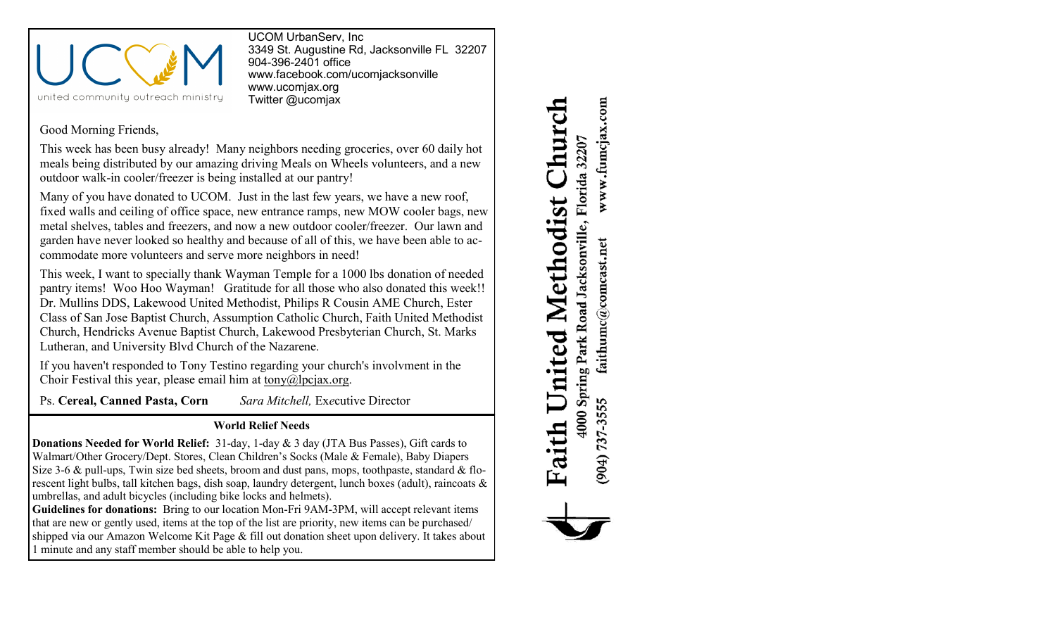

UCOM UrbanServ, Inc 3349 St. Augustine Rd, Jacksonville FL 32207 904-396-2401 office [www.facebook.com/ucomjacksonville](http://www.facebook.com/ucomjacksonville) [www.ucomjax.org](http://www.ucomjax.org) Twitter @ucomjax

## Good Morning Friends,

This week has been busy already! Many neighbors needing groceries, over 60 daily hot meals being distributed by our amazing driving Meals on Wheels volunteers, and a new outdoor walk-in cooler/freezer is being installed at our pantry!

Many of you have donated to UCOM. Just in the last few years, we have a new roof, fixed walls and ceiling of office space, new entrance ramps, new MOW cooler bags, new metal shelves, tables and freezers, and now a new outdoor cooler/freezer. Our lawn and garden have never looked so healthy and because of all of this, we have been able to accommodate more volunteers and serve more neighbors in need!

This week, I want to specially thank Wayman Temple for a 1000 lbs donation of needed pantry items! Woo Hoo Wayman! Gratitude for all those who also donated this week!! Dr. Mullins DDS, Lakewood United Methodist, Philips R Cousin AME Church, Ester Class of San Jose Baptist Church, Assumption Catholic Church, Faith United Methodist Church, Hendricks Avenue Baptist Church, Lakewood Presbyterian Church, St. Marks Lutheran, and University Blvd Church of the Nazarene.

If you haven't responded to Tony Testino regarding your church's involvment in the Choir Festival this year, please email him at tony $@$ lpcjax.org.

Ps. **Cereal, Canned Pasta, Corn** *Sara Mitchell,* Ex*e*cutive Director

## **World Relief Needs**

**Donations Needed for World Relief:** 31-day, 1-day & 3 day (JTA Bus Passes), Gift cards to Walmart/Other Grocery/Dept. Stores, Clean Children's Socks (Male & Female), Baby Diapers Size 3-6 & pull-ups, Twin size bed sheets, broom and dust pans, mops, toothpaste, standard & florescent light bulbs, tall kitchen bags, dish soap, laundry detergent, lunch boxes (adult), raincoats & umbrellas, and adult bicycles (including bike locks and helmets).

**Guidelines for donations:** Bring to our location Mon-Fri 9AM-3PM, will accept relevant items that are new or gently used, items at the top of the list are priority, new items can be purchased/ shipped via our Amazon Welcome Kit Page & fill out donation sheet upon delivery. It takes about 1 minute and any staff member should be able to help you.

www.fumcjax.com Church 4000 Spring Park Road Jacksonville, Florida 32207 United Methodist  $\operatorname{faithume}(\mathcal{Q} \text{comest.net})$ (904) 737-3555 Faith